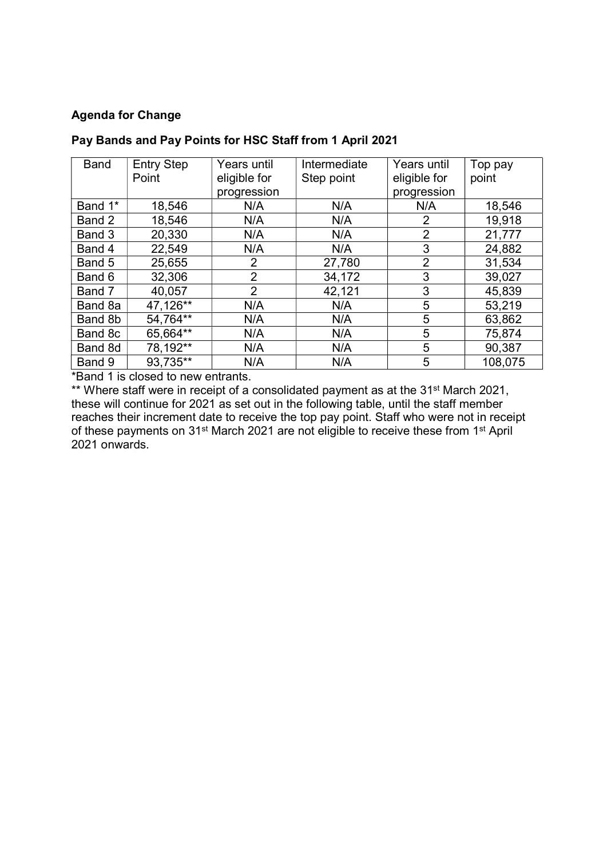## Agenda for Change

| <b>Band</b> | <b>Entry Step</b> | Years until  | Intermediate | <b>Years until</b> | Top pay |
|-------------|-------------------|--------------|--------------|--------------------|---------|
|             | Point             | eligible for | Step point   | eligible for       | point   |
|             |                   | progression  |              | progression        |         |
| Band 1*     | 18,546            | N/A          | N/A          | N/A                | 18,546  |
| Band 2      | 18,546            | N/A          | N/A          | 2                  | 19,918  |
| Band 3      | 20,330            | N/A          | N/A          | $\overline{2}$     | 21,777  |
| Band 4      | 22,549            | N/A          | N/A          | 3                  | 24,882  |
| Band 5      | 25,655            | 2            | 27,780       | $\overline{2}$     | 31,534  |
| Band 6      | 32,306            | 2            | 34,172       | 3                  | 39,027  |
| Band 7      | 40,057            | 2            | 42,121       | 3                  | 45,839  |
| Band 8a     | 47,126**          | N/A          | N/A          | 5                  | 53,219  |
| Band 8b     | 54,764**          | N/A          | N/A          | 5                  | 63,862  |
| Band 8c     | 65,664**          | N/A          | N/A          | 5                  | 75,874  |
| Band 8d     | 78,192**          | N/A          | N/A          | 5                  | 90,387  |
| Band 9      | 93,735**          | N/A          | N/A          | 5                  | 108,075 |

## Pay Bands and Pay Points for HSC Staff from 1 April 2021

\*Band 1 is closed to new entrants.

\*\* Where staff were in receipt of a consolidated payment as at the 31<sup>st</sup> March 2021, these will continue for 2021 as set out in the following table, until the staff member reaches their increment date to receive the top pay point. Staff who were not in receipt of these payments on 31st March 2021 are not eligible to receive these from 1st April 2021 onwards.